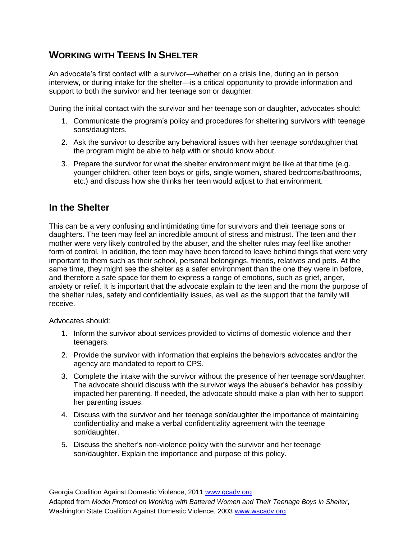## **WORKING WITH TEENS IN SHELTER**

An advocate's first contact with a survivor—whether on a crisis line, during an in person interview, or during intake for the shelter—is a critical opportunity to provide information and support to both the survivor and her teenage son or daughter.

During the initial contact with the survivor and her teenage son or daughter, advocates should:

- 1. Communicate the program's policy and procedures for sheltering survivors with teenage sons/daughters.
- 2. Ask the survivor to describe any behavioral issues with her teenage son/daughter that the program might be able to help with or should know about.
- 3. Prepare the survivor for what the shelter environment might be like at that time (e.g. younger children, other teen boys or girls, single women, shared bedrooms/bathrooms, etc.) and discuss how she thinks her teen would adjust to that environment.

## **In the Shelter**

This can be a very confusing and intimidating time for survivors and their teenage sons or daughters. The teen may feel an incredible amount of stress and mistrust. The teen and their mother were very likely controlled by the abuser, and the shelter rules may feel like another form of control. In addition, the teen may have been forced to leave behind things that were very important to them such as their school, personal belongings, friends, relatives and pets. At the same time, they might see the shelter as a safer environment than the one they were in before, and therefore a safe space for them to express a range of emotions, such as grief, anger, anxiety or relief. It is important that the advocate explain to the teen and the mom the purpose of the shelter rules, safety and confidentiality issues, as well as the support that the family will receive.

Advocates should:

- 1. Inform the survivor about services provided to victims of domestic violence and their teenagers.
- 2. Provide the survivor with information that explains the behaviors advocates and/or the agency are mandated to report to CPS.
- 3. Complete the intake with the survivor without the presence of her teenage son/daughter. The advocate should discuss with the survivor ways the abuser's behavior has possibly impacted her parenting. If needed, the advocate should make a plan with her to support her parenting issues.
- 4. Discuss with the survivor and her teenage son/daughter the importance of maintaining confidentiality and make a verbal confidentiality agreement with the teenage son/daughter.
- 5. Discuss the shelter's non-violence policy with the survivor and her teenage son/daughter. Explain the importance and purpose of this policy.